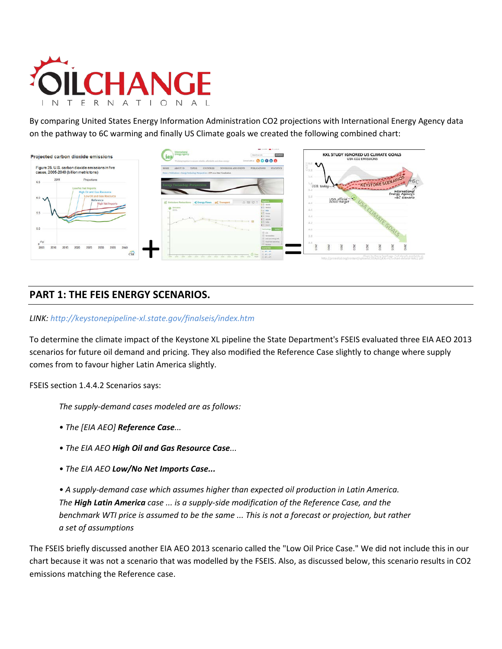

By comparing United States Energy Information Administration CO2 projections with International Energy Agency data on the pathway to 6C warming and finally US Climate goals we created the following combined chart:



## **PART 1: THE FEIS ENERGY SCENARIOS.**

### *LINK[: http://keystonepipeline-xl.state.gov/finalseis/index.htm](http://keystonepipeline-xl.state.gov/finalseis/index.htm)*

To determine the climate impact of the Keystone XL pipeline the State Department's FSEIS evaluated three EIA AEO 2013 scenarios for future oil demand and pricing. They also modified the Reference Case slightly to change where supply comes from to favour higher Latin America slightly.

FSEIS section 1.4.4.2 Scenarios says:

*The supply-demand cases modeled are as follows:*

- *The [EIA AEO] Reference Case...*
- *The EIA AEO High Oil and Gas Resource Case...*
- *The EIA AEO Low/No Net Imports Case...*

*• A supply-demand case which assumes higher than expected oil production in Latin America. The High Latin America case ... is a supply-side modification of the Reference Case, and the benchmark WTI price is assumed to be the same ... This is not a forecast or projection, but rather a set of assumptions* 

The FSEIS briefly discussed another EIA AEO 2013 scenario called the "Low Oil Price Case." We did not include this in our chart because it was not a scenario that was modelled by the FSEIS. Also, as discussed below, this scenario results in CO2 emissions matching the Reference case.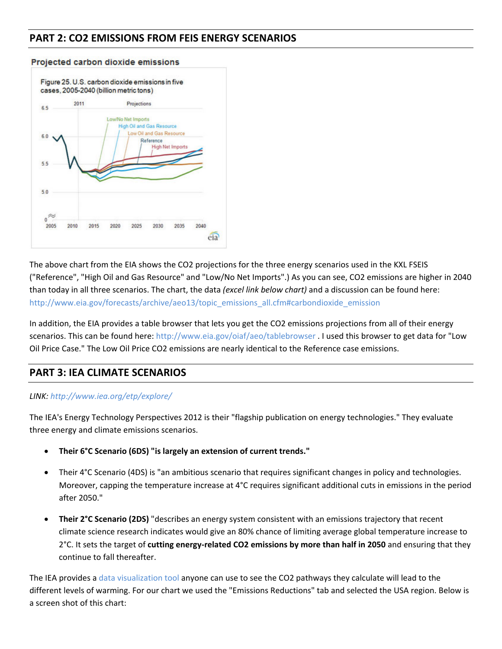# **PART 2: CO2 EMISSIONS FROM FEIS ENERGY SCENARIOS**



#### Projected carbon dioxide emissions

The above chart from the EIA shows the CO2 projections for the three energy scenarios used in the KXL FSEIS ("Reference", "High Oil and Gas Resource" and "Low/No Net Imports".) As you can see, CO2 emissions are higher in 2040 than today in all three scenarios. The chart, the data *(excel link below chart)* and a discussion can be found here: [http://www.eia.gov/forecasts/archive/aeo13/topic\\_emissions\\_all.cfm#carbondioxide\\_emission](http://www.eia.gov/forecasts/archive/aeo13/topic_emissions_all.cfm#carbondioxide_emission)

In addition, the EIA provides a table browser that lets you get the CO2 emissions projections from all of their energy scenarios. This can be found here: <http://www.eia.gov/oiaf/aeo/tablebrowser> . I used this browser to get data for "Low Oil Price Case." The Low Oil Price CO2 emissions are nearly identical to the Reference case emissions.

## **PART 3: IEA CLIMATE SCENARIOS**

### *LINK[: http://www.iea.org/etp/explore/](http://www.iea.org/etp/explore/)*

The IEA's Energy Technology Perspectives 2012 is their "flagship publication on energy technologies." They evaluate three energy and climate emissions scenarios.

- **Their 6°C Scenario (6DS) "is largely an extension of current trends."**
- Their 4°C Scenario (4DS) is "an ambitious scenario that requires significant changes in policy and technologies. Moreover, capping the temperature increase at 4°C requires significant additional cuts in emissions in the period after 2050."
- **Their 2°C Scenario (2DS)** "describes an energy system consistent with an emissions trajectory that recent climate science research indicates would give an 80% chance of limiting average global temperature increase to 2°C. It sets the target of **cutting energy-related CO2 emissions by more than half in 2050** and ensuring that they continue to fall thereafter.

The IEA provides a [data visualization tool](http://www.iea.org/etp/explore/) anyone can use to see the CO2 pathways they calculate will lead to the different levels of warming. For our chart we used the "Emissions Reductions" tab and selected the USA region. Below is a screen shot of this chart: